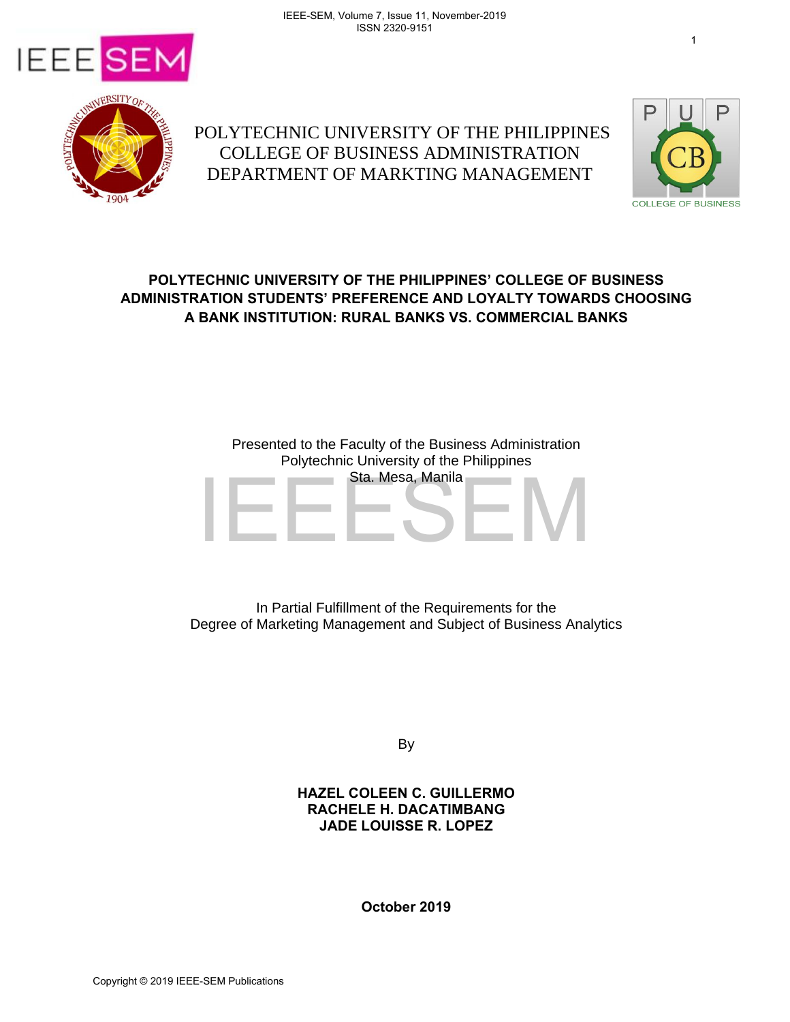



 POLYTECHNIC UNIVERSITY OF THE PHILIPPINES COLLEGE OF BUSINESS ADMINISTRATION DEPARTMENT OF MARKTING MANAGEMENT



# **POLYTECHNIC UNIVERSITY OF THE PHILIPPINES' COLLEGE OF BUSINESS ADMINISTRATION STUDENTS' PREFERENCE AND LOYALTY TOWARDS CHOOSING A BANK INSTITUTION: RURAL BANKS VS. COMMERCIAL BANKS**

# Presented to the Faculty of the Business Administration Polytechnic University of the Philippines Sta. Mesa, Manila Sta. Mesa, Manila<br>
In Partial Fulfillment of the Requirements for the<br>
Degree of Marketing Management and Subject of Business Anal<br>
By<br>
HAZEL COLEEN C. GUILLERMO<br>
RACHELE H. DACATIMBANG<br>
JADE LOUISSE R. LOPEZ<br>
Copyright ©

In Partial Fulfillment of the Requirements for the Degree of Marketing Management and Subject of Business Analytics

By

## **HAZEL COLEEN C. GUILLERMO RACHELE H. DACATIMBANG JADE LOUISSE R. LOPEZ**

**October 2019**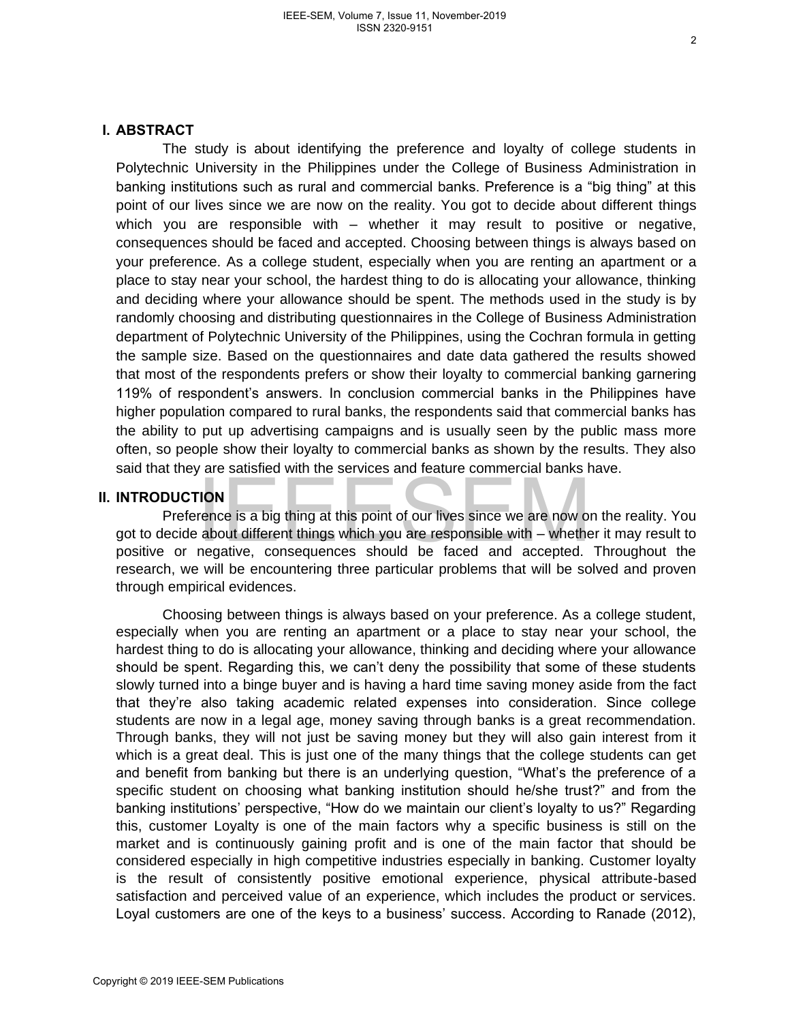### **I. ABSTRACT**

The study is about identifying the preference and loyalty of college students in Polytechnic University in the Philippines under the College of Business Administration in banking institutions such as rural and commercial banks. Preference is a "big thing" at this point of our lives since we are now on the reality. You got to decide about different things which you are responsible with – whether it may result to positive or negative, consequences should be faced and accepted. Choosing between things is always based on your preference. As a college student, especially when you are renting an apartment or a place to stay near your school, the hardest thing to do is allocating your allowance, thinking and deciding where your allowance should be spent. The methods used in the study is by randomly choosing and distributing questionnaires in the College of Business Administration department of Polytechnic University of the Philippines, using the Cochran formula in getting the sample size. Based on the questionnaires and date data gathered the results showed that most of the respondents prefers or show their loyalty to commercial banking garnering 119% of respondent's answers. In conclusion commercial banks in the Philippines have higher population compared to rural banks, the respondents said that commercial banks has the ability to put up advertising campaigns and is usually seen by the public mass more often, so people show their loyalty to commercial banks as shown by the results. They also said that they are satisfied with the services and feature commercial banks have.

### **II. INTRODUCTION**

Preference is a big thing at this point of our lives since we are now on the reality. You got to decide about different things which you are responsible with – whether it may result to positive or negative, consequences should be faced and accepted. Throughout the research, we will be encountering three particular problems that will be solved and proven through empirical evidences.

Choosing between things is always based on your preference. As a college student, especially when you are renting an apartment or a place to stay near your school, the hardest thing to do is allocating your allowance, thinking and deciding where your allowance should be spent. Regarding this, we can't deny the possibility that some of these students slowly turned into a binge buyer and is having a hard time saving money aside from the fact that they're also taking academic related expenses into consideration. Since college students are now in a legal age, money saving through banks is a great recommendation. Through banks, they will not just be saving money but they will also gain interest from it which is a great deal. This is just one of the many things that the college students can get and benefit from banking but there is an underlying question, "What's the preference of a specific student on choosing what banking institution should he/she trust?" and from the banking institutions' perspective, "How do we maintain our client's loyalty to us?" Regarding this, customer Loyalty is one of the main factors why a specific business is still on the market and is continuously gaining profit and is one of the main factor that should be considered especially in high competitive industries especially in banking. Customer loyalty is the result of consistently positive emotional experience, physical attribute-based satisfaction and perceived value of an experience, which includes the product or services. Loyal customers are one of the keys to a business' success. According to Ranade (2012), II. INTRODUCTION<br>
Preference is a big thing at this point of our lives since we are now of<br>
gotto decide about different things which you are responsible with - where<br>
positive or negative, consequences should be faced and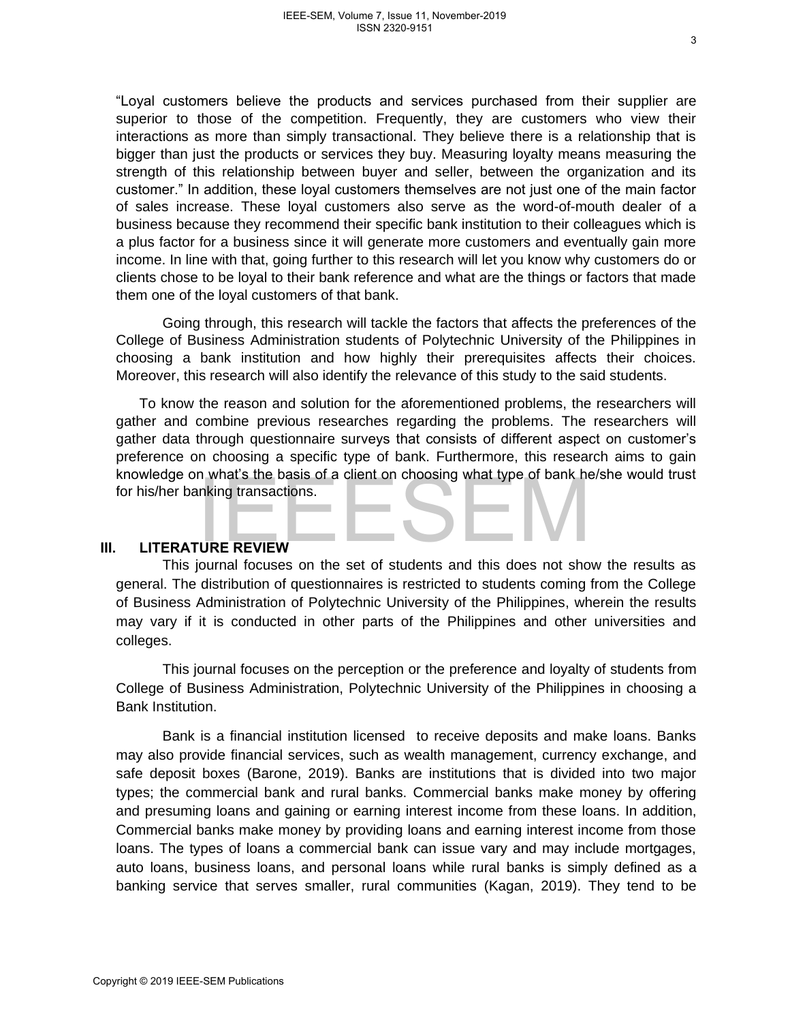"Loyal customers believe the products and services purchased from their supplier are superior to those of the competition. Frequently, they are customers who view their interactions as more than simply transactional. They believe there is a relationship that is bigger than just the products or services they buy. Measuring loyalty means measuring the strength of this relationship between buyer and seller, between the organization and its customer." In addition, these loyal customers themselves are not just one of the main factor of sales increase. These loyal customers also serve as the word-of-mouth dealer of a business because they recommend their specific bank institution to their colleagues which is a plus factor for a business since it will generate more customers and eventually gain more income. In line with that, going further to this research will let you know why customers do or clients chose to be loyal to their bank reference and what are the things or factors that made them one of the loyal customers of that bank.

Going through, this research will tackle the factors that affects the preferences of the College of Business Administration students of Polytechnic University of the Philippines in choosing a bank institution and how highly their prerequisites affects their choices. Moreover, this research will also identify the relevance of this study to the said students.

To know the reason and solution for the aforementioned problems, the researchers will gather and combine previous researches regarding the problems. The researchers will gather data through questionnaire surveys that consists of different aspect on customer's preference on choosing a specific type of bank. Furthermore, this research aims to gain knowledge on what's the basis of a client on choosing what type of bank he/she would trust for his/her banking transactions.

### **III. LITERATURE REVIEW**

This journal focuses on the set of students and this does not show the results as general. The distribution of questionnaires is restricted to students coming from the College of Business Administration of Polytechnic University of the Philippines, wherein the results may vary if it is conducted in other parts of the Philippines and other universities and colleges.

This journal focuses on the perception or the preference and loyalty of students from College of Business Administration, Polytechnic University of the Philippines in choosing a Bank Institution.

Bank is a financial institution licensed to receive deposits and make loans. Banks may also provide financial services, such as wealth management, currency exchange, and safe deposit boxes (Barone, 2019). Banks are institutions that is divided into two major types; the commercial bank and rural banks. Commercial banks make money by offering and presuming loans and gaining or earning interest income from these loans. In addition, Commercial banks make money by providing loans and earning interest income from those loans. The types of loans a commercial bank can issue vary and may include mortgages, auto loans, business loans, and personal loans while rural banks is simply defined as a banking service that serves smaller, rural communities (Kagan, 2019). They tend to be Noting the water are beast of cluential choosing wilat type of bank left<br>for his/her banking transactions.<br>This journal focuses on the set of students and this does not sho<br>general. The distribution of questionalizer is r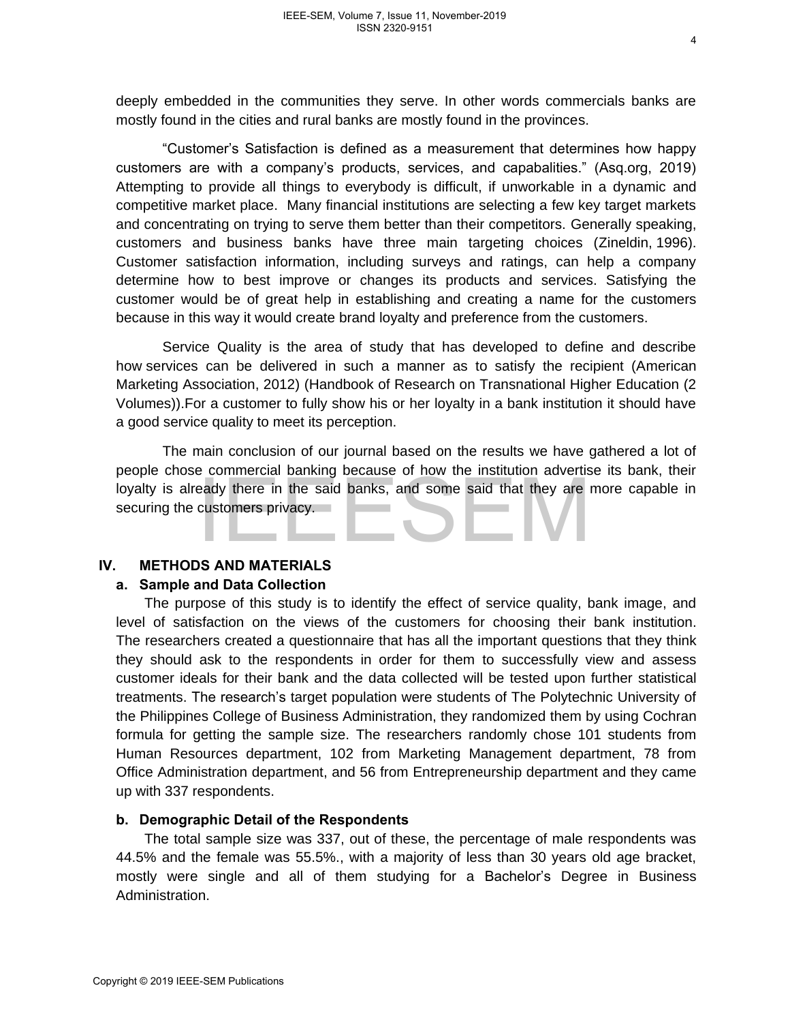deeply embedded in the communities they serve. In other words commercials banks are mostly found in the cities and rural banks are mostly found in the provinces.

"Customer's Satisfaction is defined as a measurement that determines how happy customers are with a company's products, services, and capabalities." (Asq.org, 2019) Attempting to provide all things to everybody is difficult, if unworkable in a dynamic and competitive market place. Many financial institutions are selecting a few key target markets and concentrating on trying to serve them better than their competitors. Generally speaking, customers and business banks have three main targeting choices (Zineldin, 1996). Customer satisfaction information, including surveys and ratings, can help a company determine how to best improve or changes its products and services. Satisfying the customer would be of great help in establishing and creating a name for the customers because in this way it would create brand loyalty and preference from the customers.

Service Quality is the area of study that has developed to define and describe how services can be delivered in such a manner as to satisfy the recipient (American Marketing Association, 2012) (Handbook of Research on Transnational Higher Education (2 Volumes)).For a customer to fully show his or her loyalty in a bank institution it should have a good service quality to meet its perception.

The main conclusion of our journal based on the results we have gathered a lot of people chose commercial banking because of how the institution advertise its bank, their loyalty is already there in the said banks, and some said that they are more capable in securing the customers privacy.

### **IV. METHODS AND MATERIALS**

### **a. Sample and Data Collection**

The purpose of this study is to identify the effect of service quality, bank image, and level of satisfaction on the views of the customers for choosing their bank institution. The researchers created a questionnaire that has all the important questions that they think they should ask to the respondents in order for them to successfully view and assess customer ideals for their bank and the data collected will be tested upon further statistical treatments. The research's target population were students of The Polytechnic University of the Philippines College of Business Administration, they randomized them by using Cochran formula for getting the sample size. The researchers randomly chose 101 students from Human Resources department, 102 from Marketing Management department, 78 from Office Administration department, and 56 from Entrepreneurship department and they came up with 337 respondents. Copyright® 2019 IEEE-SEM Publications Inc. where the Said Banks, and some said that they are securing the customers privacy.<br>
IN. METHODS AND MATERIALS<br>
a. Sample and Data Collection<br>
The purpose of this study is to ident

### **b. Demographic Detail of the Respondents**

The total sample size was 337, out of these, the percentage of male respondents was 44.5% and the female was 55.5%., with a majority of less than 30 years old age bracket, mostly were single and all of them studying for a Bachelor's Degree in Business Administration.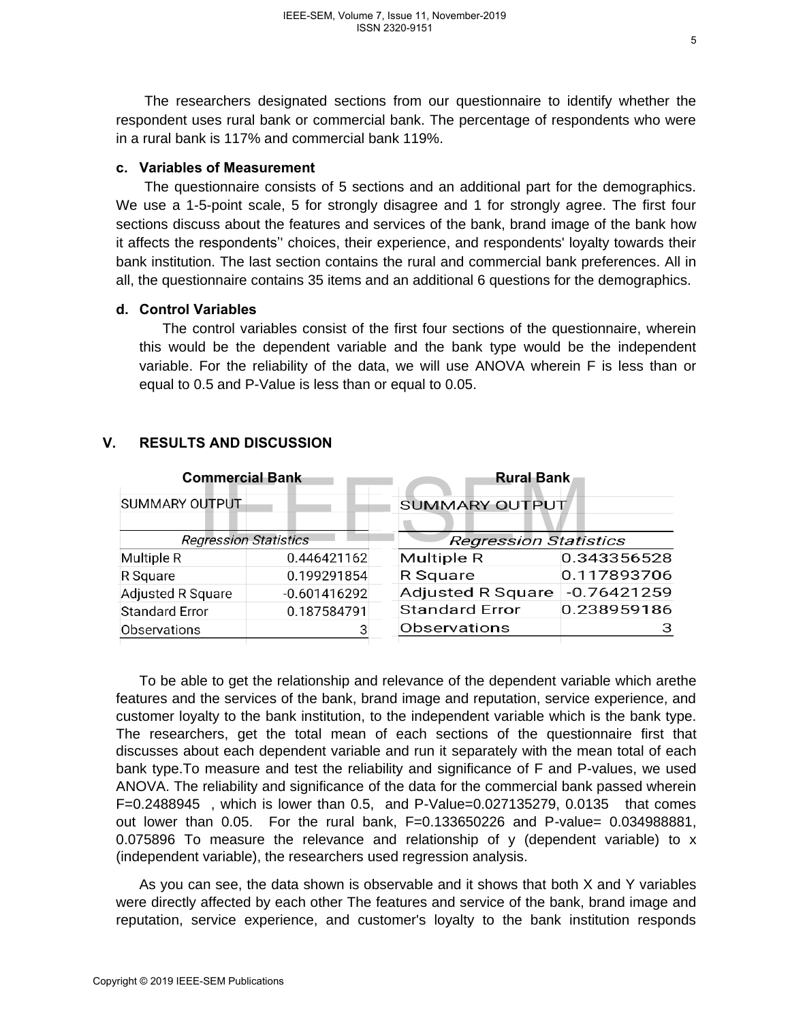The researchers designated sections from our questionnaire to identify whether the respondent uses rural bank or commercial bank. The percentage of respondents who were in a rural bank is 117% and commercial bank 119%.

### **c. Variables of Measurement**

The questionnaire consists of 5 sections and an additional part for the demographics. We use a 1-5-point scale, 5 for strongly disagree and 1 for strongly agree. The first four sections discuss about the features and services of the bank, brand image of the bank how it affects the respondents'' choices, their experience, and respondents' loyalty towards their bank institution. The last section contains the rural and commercial bank preferences. All in all, the questionnaire contains 35 items and an additional 6 questions for the demographics.

### **d. Control Variables**

The control variables consist of the first four sections of the questionnaire, wherein this would be the dependent variable and the bank type would be the independent variable. For the reliability of the data, we will use ANOVA wherein F is less than or equal to 0.5 and P-Value is less than or equal to 0.05.

| <b>Commercial Bank</b>       |                | <b>Rural Bank</b>            |               |
|------------------------------|----------------|------------------------------|---------------|
| SUMMARY OUTPUT               |                | SUMMARY OUTPUT               |               |
| <b>Regression Statistics</b> |                | <b>Regression Statistics</b> |               |
| Multiple R                   | 0.446421162    | <b>Multiple R</b>            | 0.343356528   |
| R Square                     | 0.199291854    | R Square                     | 0.117893706   |
| <b>Adjusted R Square</b>     | $-0.601416292$ | <b>Adjusted R Square</b>     | $-0.76421259$ |
| <b>Standard Error</b>        | 0.187584791    | <b>Standard Error</b>        | 0.238959186   |
| Observations                 |                | Observations                 | з             |

# **V. RESULTS AND DISCUSSION**

To be able to get the relationship and relevance of the dependent variable which arethe features and the services of the bank, brand image and reputation, service experience, and customer loyalty to the bank institution, to the independent variable which is the bank type. The researchers, get the total mean of each sections of the questionnaire first that discusses about each dependent variable and run it separately with the mean total of each bank type.To measure and test the reliability and significance of F and P-values, we used ANOVA. The reliability and significance of the data for the commercial bank passed wherein F=0.2488945 , which is lower than 0.5, and P-Value=0.027135279, 0.0135 that comes out lower than  $0.05$ . For the rural bank,  $F=0.133650226$  and P-value=  $0.034988881$ , 0.075896 To measure the relevance and relationship of y (dependent variable) to  $x$ (independent variable), the researchers used regression analysis. Commercial Bank<br>
SUMMARY OUTPUT<br>
Regression Statistics<br>
Multiple R<br>
Multiple R<br>
Square<br>
20199291854<br>
R Square<br>
20199291854<br>
R Square<br>
20199291854<br>
R Square<br>
20199291854<br>
R Square<br>
20199291854<br>
R Square<br>
20199291854<br>
R Squ

As you can see, the data shown is observable and it shows that both X and Y variables were directly affected by each other The features and service of the bank, brand image and reputation, service experience, and customer's loyalty to the bank institution responds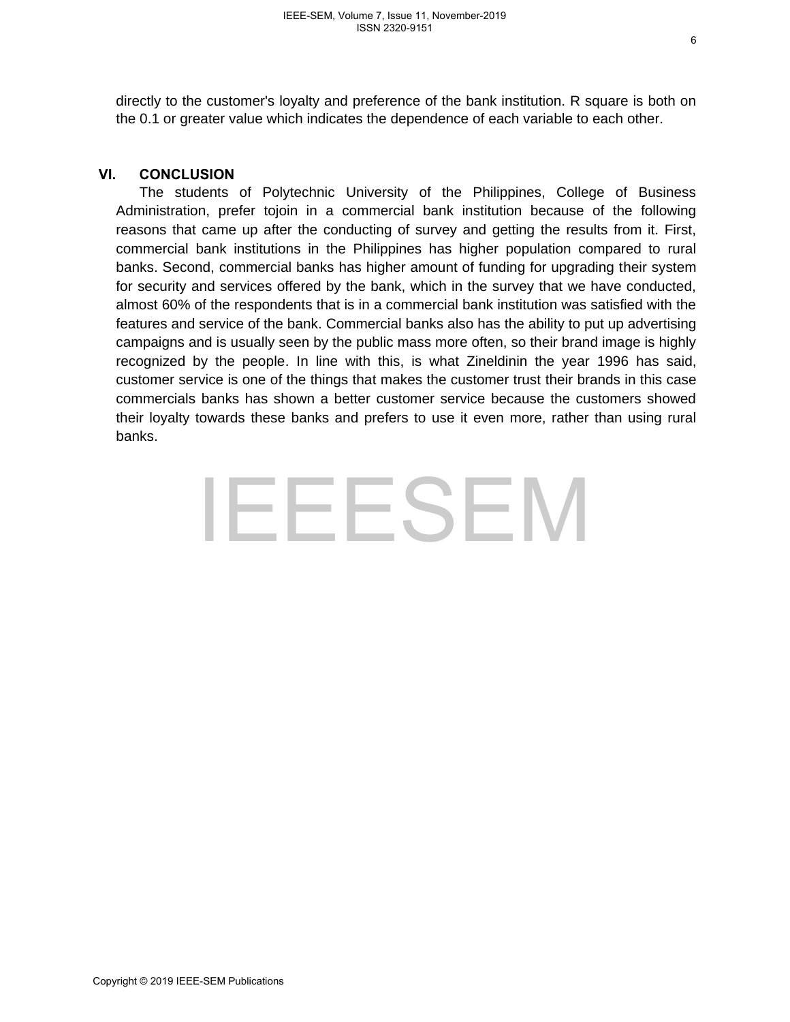directly to the customer's loyalty and preference of the bank institution. R square is both on the 0.1 or greater value which indicates the dependence of each variable to each other.

### **VI. CONCLUSION**

The students of Polytechnic University of the Philippines, College of Business Administration, prefer tojoin in a commercial bank institution because of the following reasons that came up after the conducting of survey and getting the results from it. First, commercial bank institutions in the Philippines has higher population compared to rural banks. Second, commercial banks has higher amount of funding for upgrading their system for security and services offered by the bank, which in the survey that we have conducted, almost 60% of the respondents that is in a commercial bank institution was satisfied with the features and service of the bank. Commercial banks also has the ability to put up advertising campaigns and is usually seen by the public mass more often, so their brand image is highly recognized by the people. In line with this, is what Zineldinin the year 1996 has said, customer service is one of the things that makes the customer trust their brands in this case commercials banks has shown a better customer service because the customers showed their loyalty towards these banks and prefers to use it even more, rather than using rural banks.

# EEESEM<br>EEESEM<br>Copyright © 2019 IEEE-SEM Publications